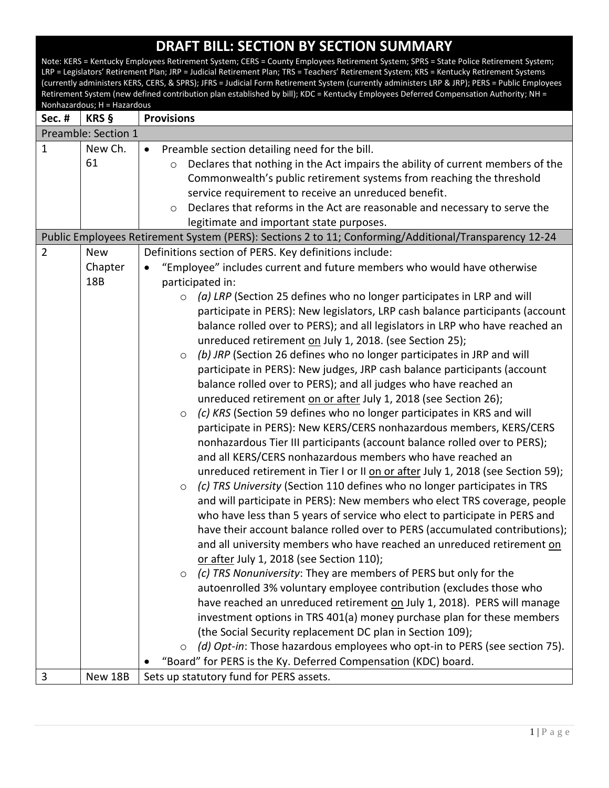Note: KERS = Kentucky Employees Retirement System; CERS = County Employees Retirement System; SPRS = State Police Retirement System; LRP = Legislators' Retirement Plan; JRP = Judicial Retirement Plan; TRS = Teachers' Retirement System; KRS = Kentucky Retirement Systems (currently administers KERS, CERS, & SPRS); JFRS = Judicial Form Retirement System (currently administers LRP & JRP); PERS = Public Employees Retirement System (new defined contribution plan established by bill); KDC = Kentucky Employees Deferred Compensation Authority; NH = Nonhazardous; H = Hazardous **Sec. # KRS § Provisions** Preamble: Section 1 1 New Ch. 61 Preamble section detailing need for the bill. o Declares that nothing in the Act impairs the ability of current members of the Commonwealth's public retirement systems from reaching the threshold service requirement to receive an unreduced benefit. o Declares that reforms in the Act are reasonable and necessary to serve the legitimate and important state purposes. Public Employees Retirement System (PERS): Sections 2 to 11; Conforming/Additional/Transparency 12-24 2 New Chapter 18B Definitions section of PERS. Key definitions include: "Employee" includes current and future members who would have otherwise participated in: o *(a) LRP* (Section 25 defines who no longer participates in LRP and will participate in PERS): New legislators, LRP cash balance participants (account balance rolled over to PERS); and all legislators in LRP who have reached an unreduced retirement on July 1, 2018. (see Section 25); o *(b) JRP* (Section 26 defines who no longer participates in JRP and will participate in PERS): New judges, JRP cash balance participants (account balance rolled over to PERS); and all judges who have reached an unreduced retirement on or after July 1, 2018 (see Section 26); o *(c) KRS* (Section 59 defines who no longer participates in KRS and will participate in PERS): New KERS/CERS nonhazardous members, KERS/CERS nonhazardous Tier III participants (account balance rolled over to PERS); and all KERS/CERS nonhazardous members who have reached an unreduced retirement in Tier I or II on or after July 1, 2018 (see Section 59); o *(c) TRS University* (Section 110 defines who no longer participates in TRS and will participate in PERS): New members who elect TRS coverage, people who have less than 5 years of service who elect to participate in PERS and have their account balance rolled over to PERS (accumulated contributions); and all university members who have reached an unreduced retirement on or after July 1, 2018 (see Section 110); o *(c) TRS Nonuniversity*: They are members of PERS but only for the autoenrolled 3% voluntary employee contribution (excludes those who have reached an unreduced retirement on July 1, 2018). PERS will manage investment options in TRS 401(a) money purchase plan for these members (the Social Security replacement DC plan in Section 109); o *(d) Opt-in*: Those hazardous employees who opt-in to PERS (see section 75). "Board" for PERS is the Ky. Deferred Compensation (KDC) board. 3 New 18B Sets up statutory fund for PERS assets.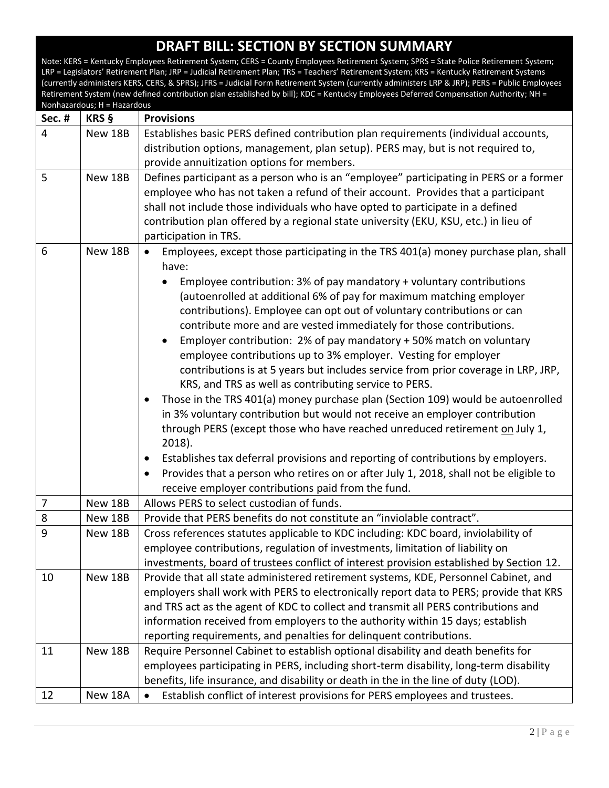| <b>Sec. #</b>  | KRS §   | <b>Provisions</b>                                                                                                                                                                                                                                                                                                                                                                                                                                                                                                                                                                                                                                                                                                                                                                                                                                                                                                                                                                                                                                                                                                                                                                                                    |
|----------------|---------|----------------------------------------------------------------------------------------------------------------------------------------------------------------------------------------------------------------------------------------------------------------------------------------------------------------------------------------------------------------------------------------------------------------------------------------------------------------------------------------------------------------------------------------------------------------------------------------------------------------------------------------------------------------------------------------------------------------------------------------------------------------------------------------------------------------------------------------------------------------------------------------------------------------------------------------------------------------------------------------------------------------------------------------------------------------------------------------------------------------------------------------------------------------------------------------------------------------------|
| $\overline{4}$ | New 18B | Establishes basic PERS defined contribution plan requirements (individual accounts,<br>distribution options, management, plan setup). PERS may, but is not required to,<br>provide annuitization options for members.                                                                                                                                                                                                                                                                                                                                                                                                                                                                                                                                                                                                                                                                                                                                                                                                                                                                                                                                                                                                |
| 5              | New 18B | Defines participant as a person who is an "employee" participating in PERS or a former<br>employee who has not taken a refund of their account. Provides that a participant<br>shall not include those individuals who have opted to participate in a defined<br>contribution plan offered by a regional state university (EKU, KSU, etc.) in lieu of<br>participation in TRS.                                                                                                                                                                                                                                                                                                                                                                                                                                                                                                                                                                                                                                                                                                                                                                                                                                       |
| 6              | New 18B | Employees, except those participating in the TRS 401(a) money purchase plan, shall<br>$\bullet$<br>have:<br>Employee contribution: 3% of pay mandatory + voluntary contributions<br>(autoenrolled at additional 6% of pay for maximum matching employer<br>contributions). Employee can opt out of voluntary contributions or can<br>contribute more and are vested immediately for those contributions.<br>Employer contribution: 2% of pay mandatory + 50% match on voluntary<br>employee contributions up to 3% employer. Vesting for employer<br>contributions is at 5 years but includes service from prior coverage in LRP, JRP,<br>KRS, and TRS as well as contributing service to PERS.<br>Those in the TRS 401(a) money purchase plan (Section 109) would be autoenrolled<br>٠<br>in 3% voluntary contribution but would not receive an employer contribution<br>through PERS (except those who have reached unreduced retirement on July 1,<br>2018).<br>Establishes tax deferral provisions and reporting of contributions by employers.<br>$\bullet$<br>Provides that a person who retires on or after July 1, 2018, shall not be eligible to<br>٠<br>receive employer contributions paid from the fund. |
| $\overline{7}$ | New 18B | Allows PERS to select custodian of funds.                                                                                                                                                                                                                                                                                                                                                                                                                                                                                                                                                                                                                                                                                                                                                                                                                                                                                                                                                                                                                                                                                                                                                                            |
| 8              | New 18B | Provide that PERS benefits do not constitute an "inviolable contract".                                                                                                                                                                                                                                                                                                                                                                                                                                                                                                                                                                                                                                                                                                                                                                                                                                                                                                                                                                                                                                                                                                                                               |
| 9              | New 18B | Cross references statutes applicable to KDC including: KDC board, inviolability of<br>employee contributions, regulation of investments, limitation of liability on<br>investments, board of trustees conflict of interest provision established by Section 12.                                                                                                                                                                                                                                                                                                                                                                                                                                                                                                                                                                                                                                                                                                                                                                                                                                                                                                                                                      |
| 10             | New 18B | Provide that all state administered retirement systems, KDE, Personnel Cabinet, and<br>employers shall work with PERS to electronically report data to PERS; provide that KRS<br>and TRS act as the agent of KDC to collect and transmit all PERS contributions and<br>information received from employers to the authority within 15 days; establish<br>reporting requirements, and penalties for delinquent contributions.                                                                                                                                                                                                                                                                                                                                                                                                                                                                                                                                                                                                                                                                                                                                                                                         |
| 11             | New 18B | Require Personnel Cabinet to establish optional disability and death benefits for<br>employees participating in PERS, including short-term disability, long-term disability<br>benefits, life insurance, and disability or death in the in the line of duty (LOD).                                                                                                                                                                                                                                                                                                                                                                                                                                                                                                                                                                                                                                                                                                                                                                                                                                                                                                                                                   |
| 12             | New 18A | Establish conflict of interest provisions for PERS employees and trustees.                                                                                                                                                                                                                                                                                                                                                                                                                                                                                                                                                                                                                                                                                                                                                                                                                                                                                                                                                                                                                                                                                                                                           |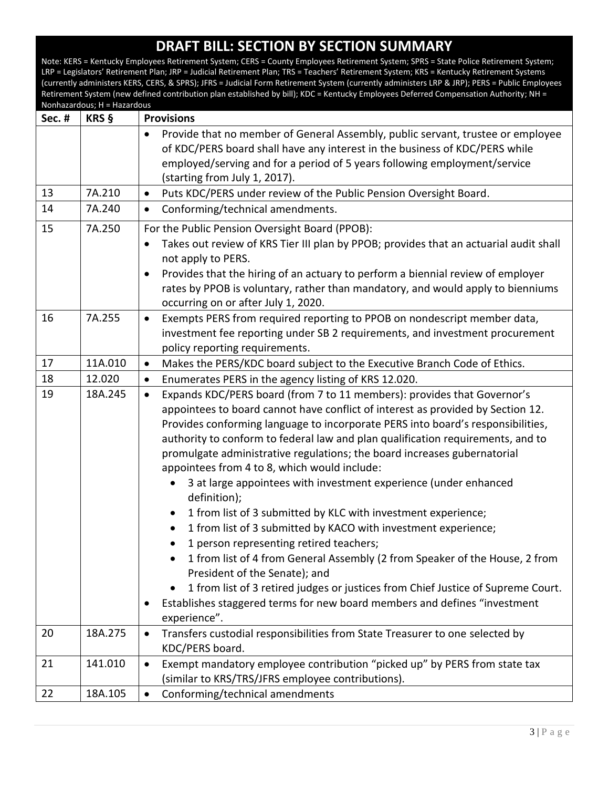| <b>Sec. #</b> | NOTITIAZATUOUS, TT – TTAZATUOUS<br>KRS § | <b>Provisions</b>                                                                                                                                                                                                                                                                                                                                                                                                                                                                                                                                                                                                                                                                                                                                                                                                                                                                                                                                                                                                                                                      |
|---------------|------------------------------------------|------------------------------------------------------------------------------------------------------------------------------------------------------------------------------------------------------------------------------------------------------------------------------------------------------------------------------------------------------------------------------------------------------------------------------------------------------------------------------------------------------------------------------------------------------------------------------------------------------------------------------------------------------------------------------------------------------------------------------------------------------------------------------------------------------------------------------------------------------------------------------------------------------------------------------------------------------------------------------------------------------------------------------------------------------------------------|
|               |                                          | Provide that no member of General Assembly, public servant, trustee or employee<br>$\bullet$<br>of KDC/PERS board shall have any interest in the business of KDC/PERS while<br>employed/serving and for a period of 5 years following employment/service<br>(starting from July 1, 2017).                                                                                                                                                                                                                                                                                                                                                                                                                                                                                                                                                                                                                                                                                                                                                                              |
| 13            | 7A.210                                   | Puts KDC/PERS under review of the Public Pension Oversight Board.<br>$\bullet$                                                                                                                                                                                                                                                                                                                                                                                                                                                                                                                                                                                                                                                                                                                                                                                                                                                                                                                                                                                         |
| 14            | 7A.240                                   | Conforming/technical amendments.<br>$\bullet$                                                                                                                                                                                                                                                                                                                                                                                                                                                                                                                                                                                                                                                                                                                                                                                                                                                                                                                                                                                                                          |
| 15            | 7A.250                                   | For the Public Pension Oversight Board (PPOB):<br>Takes out review of KRS Tier III plan by PPOB; provides that an actuarial audit shall<br>$\bullet$<br>not apply to PERS.<br>Provides that the hiring of an actuary to perform a biennial review of employer<br>$\bullet$<br>rates by PPOB is voluntary, rather than mandatory, and would apply to bienniums<br>occurring on or after July 1, 2020.                                                                                                                                                                                                                                                                                                                                                                                                                                                                                                                                                                                                                                                                   |
| 16            | 7A.255                                   | Exempts PERS from required reporting to PPOB on nondescript member data,<br>$\bullet$<br>investment fee reporting under SB 2 requirements, and investment procurement<br>policy reporting requirements.                                                                                                                                                                                                                                                                                                                                                                                                                                                                                                                                                                                                                                                                                                                                                                                                                                                                |
| 17            | 11A.010                                  | Makes the PERS/KDC board subject to the Executive Branch Code of Ethics.<br>$\bullet$                                                                                                                                                                                                                                                                                                                                                                                                                                                                                                                                                                                                                                                                                                                                                                                                                                                                                                                                                                                  |
| 18            | 12.020                                   | Enumerates PERS in the agency listing of KRS 12.020.<br>$\bullet$                                                                                                                                                                                                                                                                                                                                                                                                                                                                                                                                                                                                                                                                                                                                                                                                                                                                                                                                                                                                      |
| 19            | 18A.245                                  | Expands KDC/PERS board (from 7 to 11 members): provides that Governor's<br>$\bullet$<br>appointees to board cannot have conflict of interest as provided by Section 12.<br>Provides conforming language to incorporate PERS into board's responsibilities,<br>authority to conform to federal law and plan qualification requirements, and to<br>promulgate administrative regulations; the board increases gubernatorial<br>appointees from 4 to 8, which would include:<br>3 at large appointees with investment experience (under enhanced<br>definition);<br>1 from list of 3 submitted by KLC with investment experience;<br>1 from list of 3 submitted by KACO with investment experience;<br>$\bullet$<br>1 person representing retired teachers;<br>$\bullet$<br>1 from list of 4 from General Assembly (2 from Speaker of the House, 2 from<br>President of the Senate); and<br>1 from list of 3 retired judges or justices from Chief Justice of Supreme Court.<br>Establishes staggered terms for new board members and defines "investment<br>experience". |
| 20            | 18A.275                                  | Transfers custodial responsibilities from State Treasurer to one selected by<br>$\bullet$<br>KDC/PERS board.                                                                                                                                                                                                                                                                                                                                                                                                                                                                                                                                                                                                                                                                                                                                                                                                                                                                                                                                                           |
| 21            | 141.010                                  | Exempt mandatory employee contribution "picked up" by PERS from state tax<br>$\bullet$<br>(similar to KRS/TRS/JFRS employee contributions).                                                                                                                                                                                                                                                                                                                                                                                                                                                                                                                                                                                                                                                                                                                                                                                                                                                                                                                            |
| 22            | 18A.105                                  | Conforming/technical amendments<br>$\bullet$                                                                                                                                                                                                                                                                                                                                                                                                                                                                                                                                                                                                                                                                                                                                                                                                                                                                                                                                                                                                                           |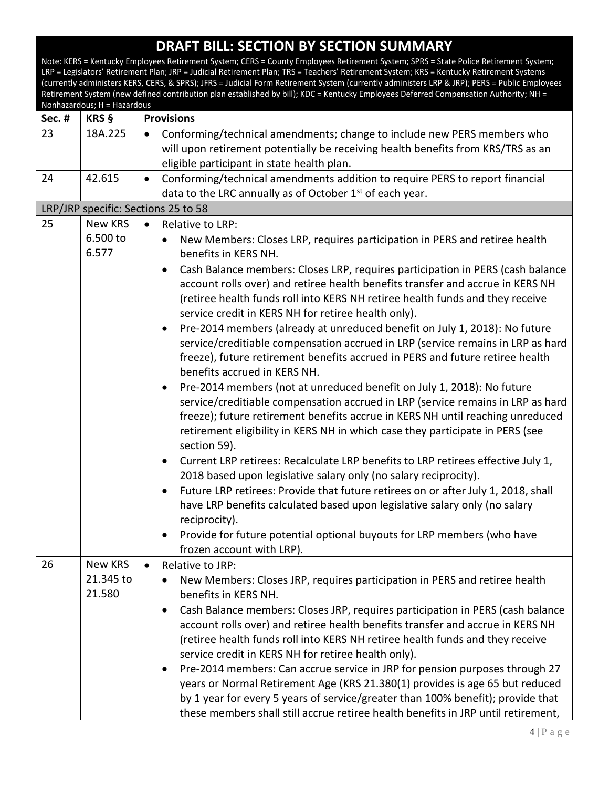Note: KERS = Kentucky Employees Retirement System; CERS = County Employees Retirement System; SPRS = State Police Retirement System; LRP = Legislators' Retirement Plan; JRP = Judicial Retirement Plan; TRS = Teachers' Retirement System; KRS = Kentucky Retirement Systems (currently administers KERS, CERS, & SPRS); JFRS = Judicial Form Retirement System (currently administers LRP & JRP); PERS = Public Employees Retirement System (new defined contribution plan established by bill); KDC = Kentucky Employees Deferred Compensation Authority; NH = Nonhazardous; H = Hazardous **Sec. # KRS § Provisions** 23 | 18A.225 | • Conforming/technical amendments; change to include new PERS members who will upon retirement potentially be receiving health benefits from KRS/TRS as an eligible participant in state health plan. 24 | 42.615 | Conforming/technical amendments addition to require PERS to report financial data to the LRC annually as of October  $1<sup>st</sup>$  of each year. LRP/JRP specific: Sections 25 to 58 25 New KRS 6.500 to 6.577 • Relative to LRP: New Members: Closes LRP, requires participation in PERS and retiree health benefits in KERS NH. Cash Balance members: Closes LRP, requires participation in PERS (cash balance account rolls over) and retiree health benefits transfer and accrue in KERS NH (retiree health funds roll into KERS NH retiree health funds and they receive service credit in KERS NH for retiree health only). Pre-2014 members (already at unreduced benefit on July 1, 2018): No future service/creditiable compensation accrued in LRP (service remains in LRP as hard freeze), future retirement benefits accrued in PERS and future retiree health benefits accrued in KERS NH. Pre-2014 members (not at unreduced benefit on July 1, 2018): No future service/creditiable compensation accrued in LRP (service remains in LRP as hard freeze); future retirement benefits accrue in KERS NH until reaching unreduced retirement eligibility in KERS NH in which case they participate in PERS (see section 59). Current LRP retirees: Recalculate LRP benefits to LRP retirees effective July 1, 2018 based upon legislative salary only (no salary reciprocity). Future LRP retirees: Provide that future retirees on or after July 1, 2018, shall have LRP benefits calculated based upon legislative salary only (no salary reciprocity). • Provide for future potential optional buyouts for LRP members (who have frozen account with LRP). 26 | New KRS 21.345 to 21.580 Relative to JRP: New Members: Closes JRP, requires participation in PERS and retiree health benefits in KERS NH. Cash Balance members: Closes JRP, requires participation in PERS (cash balance account rolls over) and retiree health benefits transfer and accrue in KERS NH (retiree health funds roll into KERS NH retiree health funds and they receive service credit in KERS NH for retiree health only). Pre-2014 members: Can accrue service in JRP for pension purposes through 27 years or Normal Retirement Age (KRS 21.380(1) provides is age 65 but reduced by 1 year for every 5 years of service/greater than 100% benefit); provide that these members shall still accrue retiree health benefits in JRP until retirement,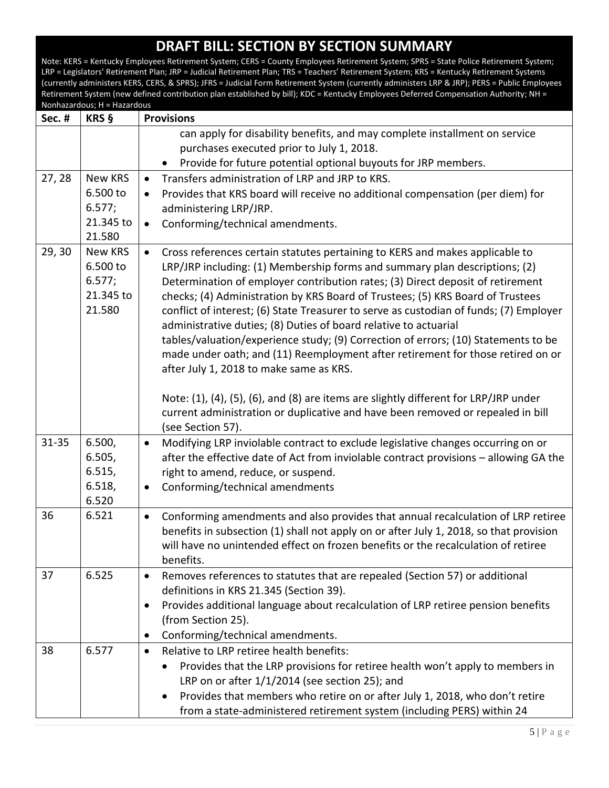| Sec. #    | KRS §               | <b>Provisions</b>                                                                                                                                                        |
|-----------|---------------------|--------------------------------------------------------------------------------------------------------------------------------------------------------------------------|
|           |                     | can apply for disability benefits, and may complete installment on service                                                                                               |
|           |                     | purchases executed prior to July 1, 2018.                                                                                                                                |
|           |                     | Provide for future potential optional buyouts for JRP members.                                                                                                           |
| 27, 28    | New KRS             | Transfers administration of LRP and JRP to KRS.<br>$\bullet$                                                                                                             |
|           | 6.500 to            | Provides that KRS board will receive no additional compensation (per diem) for<br>$\bullet$                                                                              |
|           | 6.577;              | administering LRP/JRP.                                                                                                                                                   |
|           | 21.345 to           | Conforming/technical amendments.<br>$\bullet$                                                                                                                            |
|           | 21.580              |                                                                                                                                                                          |
| 29, 30    | New KRS             | Cross references certain statutes pertaining to KERS and makes applicable to<br>$\bullet$                                                                                |
|           | 6.500 to            | LRP/JRP including: (1) Membership forms and summary plan descriptions; (2)                                                                                               |
|           | 6.577;<br>21.345 to | Determination of employer contribution rates; (3) Direct deposit of retirement                                                                                           |
|           | 21.580              | checks; (4) Administration by KRS Board of Trustees; (5) KRS Board of Trustees<br>conflict of interest; (6) State Treasurer to serve as custodian of funds; (7) Employer |
|           |                     | administrative duties; (8) Duties of board relative to actuarial                                                                                                         |
|           |                     | tables/valuation/experience study; (9) Correction of errors; (10) Statements to be                                                                                       |
|           |                     | made under oath; and (11) Reemployment after retirement for those retired on or                                                                                          |
|           |                     | after July 1, 2018 to make same as KRS.                                                                                                                                  |
|           |                     |                                                                                                                                                                          |
|           |                     | Note: (1), (4), (5), (6), and (8) are items are slightly different for LRP/JRP under                                                                                     |
|           |                     | current administration or duplicative and have been removed or repealed in bill                                                                                          |
|           |                     | (see Section 57).                                                                                                                                                        |
| $31 - 35$ | 6.500,              | Modifying LRP inviolable contract to exclude legislative changes occurring on or<br>$\bullet$                                                                            |
|           | 6.505,              | after the effective date of Act from inviolable contract provisions - allowing GA the                                                                                    |
|           | 6.515,              | right to amend, reduce, or suspend.                                                                                                                                      |
|           | 6.518,              | Conforming/technical amendments<br>$\bullet$                                                                                                                             |
|           | 6.520               |                                                                                                                                                                          |
| 36        | 6.521               | Conforming amendments and also provides that annual recalculation of LRP retiree<br>$\bullet$                                                                            |
|           |                     | benefits in subsection (1) shall not apply on or after July 1, 2018, so that provision                                                                                   |
|           |                     | will have no unintended effect on frozen benefits or the recalculation of retiree                                                                                        |
|           |                     | benefits.                                                                                                                                                                |
| 37        | 6.525               | Removes references to statutes that are repealed (Section 57) or additional<br>$\bullet$                                                                                 |
|           |                     | definitions in KRS 21.345 (Section 39).                                                                                                                                  |
|           |                     | Provides additional language about recalculation of LRP retiree pension benefits<br>٠                                                                                    |
|           |                     | (from Section 25).                                                                                                                                                       |
|           |                     | Conforming/technical amendments.                                                                                                                                         |
| 38        | 6.577               | Relative to LRP retiree health benefits:<br>$\bullet$                                                                                                                    |
|           |                     | Provides that the LRP provisions for retiree health won't apply to members in                                                                                            |
|           |                     | LRP on or after 1/1/2014 (see section 25); and                                                                                                                           |
|           |                     | Provides that members who retire on or after July 1, 2018, who don't retire                                                                                              |
|           |                     | from a state-administered retirement system (including PERS) within 24                                                                                                   |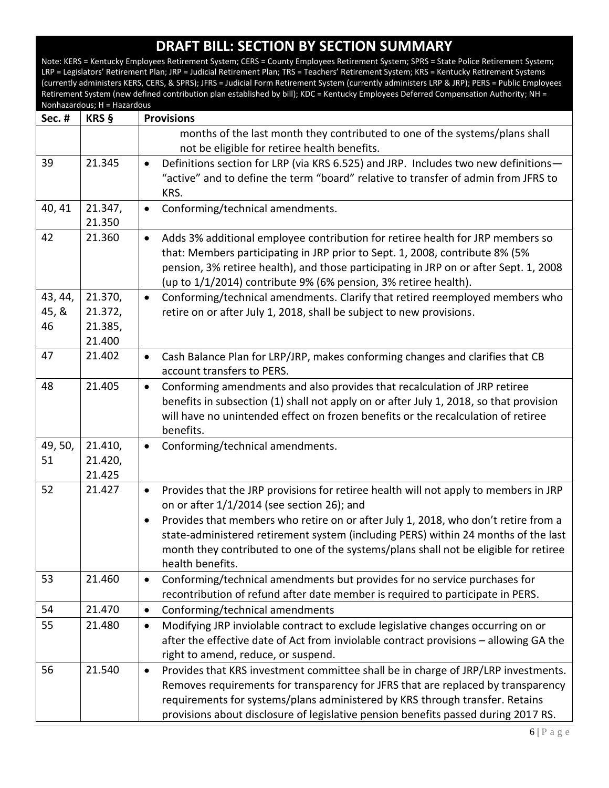| <b>Sec. #</b>          | <b>KRS §</b>                            | <b>Provisions</b>                                                                                                                                                                                                                                                                                                                                                                                                                                    |
|------------------------|-----------------------------------------|------------------------------------------------------------------------------------------------------------------------------------------------------------------------------------------------------------------------------------------------------------------------------------------------------------------------------------------------------------------------------------------------------------------------------------------------------|
|                        |                                         | months of the last month they contributed to one of the systems/plans shall                                                                                                                                                                                                                                                                                                                                                                          |
|                        |                                         | not be eligible for retiree health benefits.                                                                                                                                                                                                                                                                                                                                                                                                         |
| 39                     | 21.345                                  | Definitions section for LRP (via KRS 6.525) and JRP. Includes two new definitions-<br>$\bullet$<br>"active" and to define the term "board" relative to transfer of admin from JFRS to<br>KRS.                                                                                                                                                                                                                                                        |
| 40, 41                 | 21.347,<br>21.350                       | Conforming/technical amendments.<br>$\bullet$                                                                                                                                                                                                                                                                                                                                                                                                        |
| 42                     | 21.360                                  | Adds 3% additional employee contribution for retiree health for JRP members so<br>$\bullet$<br>that: Members participating in JRP prior to Sept. 1, 2008, contribute 8% (5%<br>pension, 3% retiree health), and those participating in JRP on or after Sept. 1, 2008<br>(up to 1/1/2014) contribute 9% (6% pension, 3% retiree health).                                                                                                              |
| 43, 44,<br>45, &<br>46 | 21.370,<br>21.372,<br>21.385,<br>21.400 | Conforming/technical amendments. Clarify that retired reemployed members who<br>$\bullet$<br>retire on or after July 1, 2018, shall be subject to new provisions.                                                                                                                                                                                                                                                                                    |
| 47                     | 21.402                                  | Cash Balance Plan for LRP/JRP, makes conforming changes and clarifies that CB<br>$\bullet$<br>account transfers to PERS.                                                                                                                                                                                                                                                                                                                             |
| 48                     | 21.405                                  | Conforming amendments and also provides that recalculation of JRP retiree<br>$\bullet$<br>benefits in subsection (1) shall not apply on or after July 1, 2018, so that provision<br>will have no unintended effect on frozen benefits or the recalculation of retiree<br>benefits.                                                                                                                                                                   |
| 49, 50,<br>51          | 21.410,<br>21.420,<br>21.425            | Conforming/technical amendments.<br>$\bullet$                                                                                                                                                                                                                                                                                                                                                                                                        |
| 52                     | 21.427                                  | Provides that the JRP provisions for retiree health will not apply to members in JRP<br>$\bullet$<br>on or after 1/1/2014 (see section 26); and<br>Provides that members who retire on or after July 1, 2018, who don't retire from a<br>$\bullet$<br>state-administered retirement system (including PERS) within 24 months of the last<br>month they contributed to one of the systems/plans shall not be eligible for retiree<br>health benefits. |
| 53                     | 21.460                                  | Conforming/technical amendments but provides for no service purchases for<br>$\bullet$<br>recontribution of refund after date member is required to participate in PERS.                                                                                                                                                                                                                                                                             |
| 54                     | 21.470                                  | Conforming/technical amendments<br>$\bullet$                                                                                                                                                                                                                                                                                                                                                                                                         |
| 55                     | 21.480                                  | Modifying JRP inviolable contract to exclude legislative changes occurring on or<br>$\bullet$<br>after the effective date of Act from inviolable contract provisions - allowing GA the<br>right to amend, reduce, or suspend.                                                                                                                                                                                                                        |
| 56                     | 21.540                                  | Provides that KRS investment committee shall be in charge of JRP/LRP investments.<br>$\bullet$<br>Removes requirements for transparency for JFRS that are replaced by transparency<br>requirements for systems/plans administered by KRS through transfer. Retains<br>provisions about disclosure of legislative pension benefits passed during 2017 RS.                                                                                             |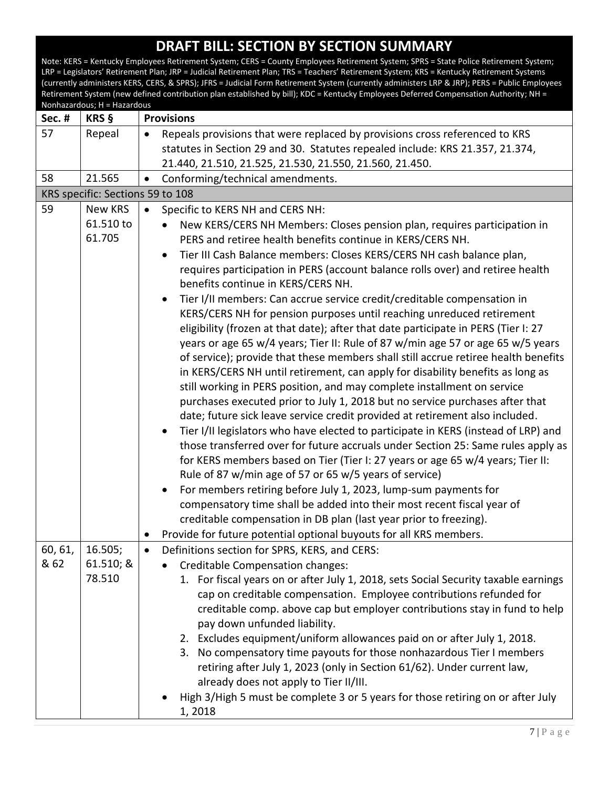| Sec. #  | KRS §                            | <b>Provisions</b>                                                                                                                                                     |
|---------|----------------------------------|-----------------------------------------------------------------------------------------------------------------------------------------------------------------------|
| 57      | Repeal                           | Repeals provisions that were replaced by provisions cross referenced to KRS<br>$\bullet$                                                                              |
|         |                                  | statutes in Section 29 and 30. Statutes repealed include: KRS 21.357, 21.374,                                                                                         |
|         |                                  | 21.440, 21.510, 21.525, 21.530, 21.550, 21.560, 21.450.                                                                                                               |
| 58      | 21.565                           | Conforming/technical amendments.<br>$\bullet$                                                                                                                         |
|         | KRS specific: Sections 59 to 108 |                                                                                                                                                                       |
| 59      | New KRS                          | Specific to KERS NH and CERS NH:<br>$\bullet$                                                                                                                         |
|         | 61.510 to                        | New KERS/CERS NH Members: Closes pension plan, requires participation in                                                                                              |
|         | 61.705                           | PERS and retiree health benefits continue in KERS/CERS NH.                                                                                                            |
|         |                                  | Tier III Cash Balance members: Closes KERS/CERS NH cash balance plan,<br>$\bullet$                                                                                    |
|         |                                  | requires participation in PERS (account balance rolls over) and retiree health                                                                                        |
|         |                                  | benefits continue in KERS/CERS NH.                                                                                                                                    |
|         |                                  | Tier I/II members: Can accrue service credit/creditable compensation in                                                                                               |
|         |                                  | KERS/CERS NH for pension purposes until reaching unreduced retirement                                                                                                 |
|         |                                  | eligibility (frozen at that date); after that date participate in PERS (Tier I: 27                                                                                    |
|         |                                  | years or age 65 w/4 years; Tier II: Rule of 87 w/min age 57 or age 65 w/5 years<br>of service); provide that these members shall still accrue retiree health benefits |
|         |                                  | in KERS/CERS NH until retirement, can apply for disability benefits as long as                                                                                        |
|         |                                  | still working in PERS position, and may complete installment on service                                                                                               |
|         |                                  | purchases executed prior to July 1, 2018 but no service purchases after that                                                                                          |
|         |                                  | date; future sick leave service credit provided at retirement also included.                                                                                          |
|         |                                  | Tier I/II legislators who have elected to participate in KERS (instead of LRP) and                                                                                    |
|         |                                  | those transferred over for future accruals under Section 25: Same rules apply as                                                                                      |
|         |                                  | for KERS members based on Tier (Tier I: 27 years or age 65 w/4 years; Tier II:                                                                                        |
|         |                                  | Rule of 87 w/min age of 57 or 65 w/5 years of service)                                                                                                                |
|         |                                  | For members retiring before July 1, 2023, lump-sum payments for                                                                                                       |
|         |                                  | compensatory time shall be added into their most recent fiscal year of                                                                                                |
|         |                                  | creditable compensation in DB plan (last year prior to freezing).                                                                                                     |
|         |                                  | Provide for future potential optional buyouts for all KRS members.                                                                                                    |
| 60, 61, | 16.505;                          | Definitions section for SPRS, KERS, and CERS:<br>$\bullet$                                                                                                            |
| & 62    | 61.510; &                        | Creditable Compensation changes:                                                                                                                                      |
|         | 78.510                           | 1. For fiscal years on or after July 1, 2018, sets Social Security taxable earnings                                                                                   |
|         |                                  | cap on creditable compensation. Employee contributions refunded for                                                                                                   |
|         |                                  | creditable comp. above cap but employer contributions stay in fund to help                                                                                            |
|         |                                  | pay down unfunded liability.                                                                                                                                          |
|         |                                  | 2. Excludes equipment/uniform allowances paid on or after July 1, 2018.                                                                                               |
|         |                                  | 3. No compensatory time payouts for those nonhazardous Tier I members                                                                                                 |
|         |                                  | retiring after July 1, 2023 (only in Section 61/62). Under current law,                                                                                               |
|         |                                  | already does not apply to Tier II/III.                                                                                                                                |
|         |                                  | High 3/High 5 must be complete 3 or 5 years for those retiring on or after July                                                                                       |
|         |                                  | 1,2018                                                                                                                                                                |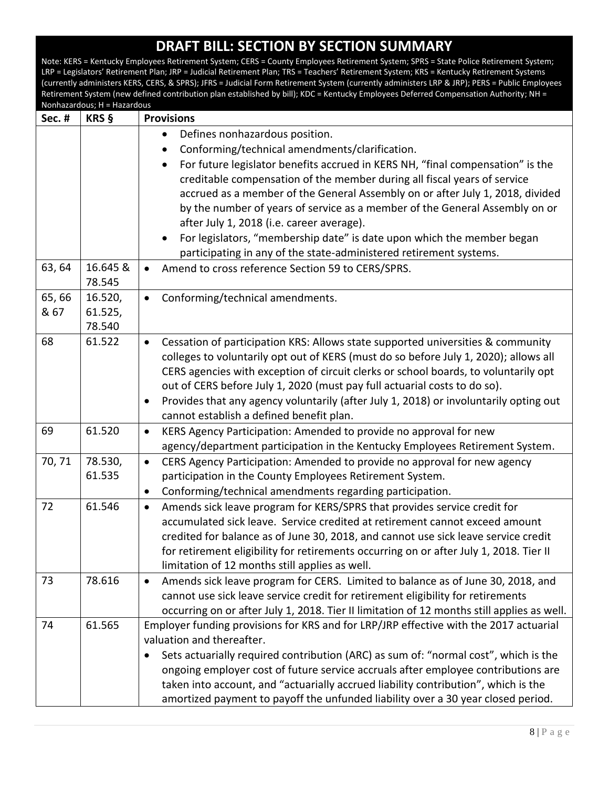**DRAFT BILL: SECTION BY SECTION SUMMARY** Note: KERS = Kentucky Employees Retirement System; CERS = County Employees Retirement System; SPRS = State Police Retirement System; LRP = Legislators' Retirement Plan; JRP = Judicial Retirement Plan; TRS = Teachers' Retirement System; KRS = Kentucky Retirement Systems (currently administers KERS, CERS, & SPRS); JFRS = Judicial Form Retirement System (currently administers LRP & JRP); PERS = Public Employees Retirement System (new defined contribution plan established by bill); KDC = Kentucky Employees Deferred Compensation Authority; NH = Nonhazardous; H = Hazardous **Sec. # KRS § Provisions** Defines nonhazardous position. Conforming/technical amendments/clarification. For future legislator benefits accrued in KERS NH, "final compensation" is the creditable compensation of the member during all fiscal years of service accrued as a member of the General Assembly on or after July 1, 2018, divided by the number of years of service as a member of the General Assembly on or after July 1, 2018 (i.e. career average). For legislators, "membership date" is date upon which the member began participating in any of the state-administered retirement systems. 63, 64 16.645 & 78.545 Amend to cross reference Section 59 to CERS/SPRS. 65, 66 & 67 16.520, 61.525, 78.540 Conforming/technical amendments. 68  $\vert$  61.522  $\vert$  • Cessation of participation KRS: Allows state supported universities & community colleges to voluntarily opt out of KERS (must do so before July 1, 2020); allows all CERS agencies with exception of circuit clerks or school boards, to voluntarily opt out of CERS before July 1, 2020 (must pay full actuarial costs to do so). • Provides that any agency voluntarily (after July 1, 2018) or involuntarily opting out cannot establish a defined benefit plan. 69 61.520 KERS Agency Participation: Amended to provide no approval for new agency/department participation in the Kentucky Employees Retirement System. 70, 71 78.530, 61.535 CERS Agency Participation: Amended to provide no approval for new agency participation in the County Employees Retirement System. Conforming/technical amendments regarding participation. 72 61.546 Amends sick leave program for KERS/SPRS that provides service credit for accumulated sick leave. Service credited at retirement cannot exceed amount credited for balance as of June 30, 2018, and cannot use sick leave service credit for retirement eligibility for retirements occurring on or after July 1, 2018. Tier II limitation of 12 months still applies as well. 73 78.616 Amends sick leave program for CERS. Limited to balance as of June 30, 2018, and cannot use sick leave service credit for retirement eligibility for retirements occurring on or after July 1, 2018. Tier II limitation of 12 months still applies as well. 74 61.565 Employer funding provisions for KRS and for LRP/JRP effective with the 2017 actuarial valuation and thereafter. Sets actuarially required contribution (ARC) as sum of: "normal cost", which is the ongoing employer cost of future service accruals after employee contributions are taken into account, and "actuarially accrued liability contribution", which is the amortized payment to payoff the unfunded liability over a 30 year closed period.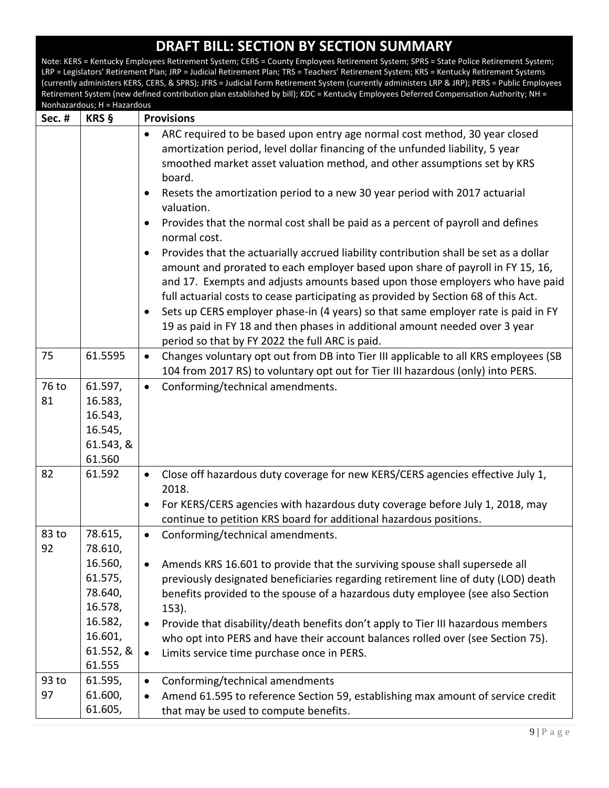| Sec. #      | <u> vulliazai uvus, 11 – Hazai uvus</u><br>KRS §                                                            | <b>Provisions</b>                                                                                                                                                                                                                                                                                                                                                                                                                                                                                                                                                                                                                                                                                                                                                                                                                                                                                                                                                                                                                                                                         |
|-------------|-------------------------------------------------------------------------------------------------------------|-------------------------------------------------------------------------------------------------------------------------------------------------------------------------------------------------------------------------------------------------------------------------------------------------------------------------------------------------------------------------------------------------------------------------------------------------------------------------------------------------------------------------------------------------------------------------------------------------------------------------------------------------------------------------------------------------------------------------------------------------------------------------------------------------------------------------------------------------------------------------------------------------------------------------------------------------------------------------------------------------------------------------------------------------------------------------------------------|
|             |                                                                                                             | ARC required to be based upon entry age normal cost method, 30 year closed<br>$\bullet$<br>amortization period, level dollar financing of the unfunded liability, 5 year<br>smoothed market asset valuation method, and other assumptions set by KRS<br>board.<br>Resets the amortization period to a new 30 year period with 2017 actuarial<br>$\bullet$<br>valuation.<br>Provides that the normal cost shall be paid as a percent of payroll and defines<br>$\bullet$<br>normal cost.<br>Provides that the actuarially accrued liability contribution shall be set as a dollar<br>$\bullet$<br>amount and prorated to each employer based upon share of payroll in FY 15, 16,<br>and 17. Exempts and adjusts amounts based upon those employers who have paid<br>full actuarial costs to cease participating as provided by Section 68 of this Act.<br>Sets up CERS employer phase-in (4 years) so that same employer rate is paid in FY<br>$\bullet$<br>19 as paid in FY 18 and then phases in additional amount needed over 3 year<br>period so that by FY 2022 the full ARC is paid. |
| 75          | 61.5595                                                                                                     | Changes voluntary opt out from DB into Tier III applicable to all KRS employees (SB<br>$\bullet$<br>104 from 2017 RS) to voluntary opt out for Tier III hazardous (only) into PERS.                                                                                                                                                                                                                                                                                                                                                                                                                                                                                                                                                                                                                                                                                                                                                                                                                                                                                                       |
| 76 to<br>81 | 61.597,<br>16.583,<br>16.543,<br>16.545,<br>61.543, &<br>61.560                                             | Conforming/technical amendments.<br>$\bullet$                                                                                                                                                                                                                                                                                                                                                                                                                                                                                                                                                                                                                                                                                                                                                                                                                                                                                                                                                                                                                                             |
| 82          | 61.592                                                                                                      | Close off hazardous duty coverage for new KERS/CERS agencies effective July 1,<br>$\bullet$<br>2018.<br>For KERS/CERS agencies with hazardous duty coverage before July 1, 2018, may<br>$\bullet$<br>continue to petition KRS board for additional hazardous positions.                                                                                                                                                                                                                                                                                                                                                                                                                                                                                                                                                                                                                                                                                                                                                                                                                   |
| 83 to<br>92 | 78.615,<br>78.610,<br>16.560,<br>61.575,<br>78.640,<br>16.578,<br>16.582,<br>16.601,<br>61.552, &<br>61.555 | Conforming/technical amendments.<br>$\bullet$<br>Amends KRS 16.601 to provide that the surviving spouse shall supersede all<br>$\bullet$<br>previously designated beneficiaries regarding retirement line of duty (LOD) death<br>benefits provided to the spouse of a hazardous duty employee (see also Section<br>$153$ ).<br>Provide that disability/death benefits don't apply to Tier III hazardous members<br>$\bullet$<br>who opt into PERS and have their account balances rolled over (see Section 75).<br>Limits service time purchase once in PERS.<br>$\bullet$                                                                                                                                                                                                                                                                                                                                                                                                                                                                                                                |
| 93 to<br>97 | 61.595,<br>61.600,<br>61.605,                                                                               | Conforming/technical amendments<br>$\bullet$<br>Amend 61.595 to reference Section 59, establishing max amount of service credit<br>$\bullet$<br>that may be used to compute benefits.                                                                                                                                                                                                                                                                                                                                                                                                                                                                                                                                                                                                                                                                                                                                                                                                                                                                                                     |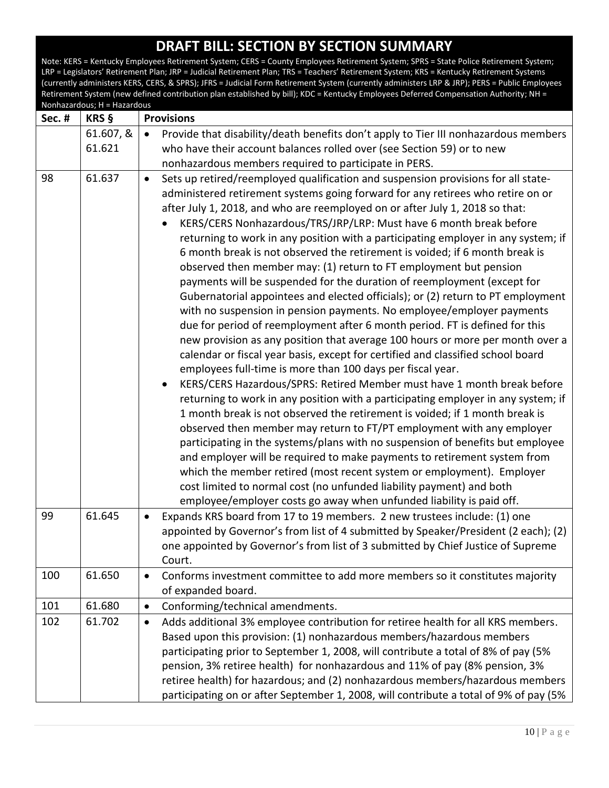|        | Nonhazardous; H = Hazardous |                                                                                                                                                                                                                                                                                                                                                                                                                                                                                                                                                                                                                                                                                                                                                                                                                                                                                                                                                                                                                                                                                                                                                                                                                                                                                                                                                                                                                                                                                                                                                                                                                                                                                                                                                                                                                                                         |
|--------|-----------------------------|---------------------------------------------------------------------------------------------------------------------------------------------------------------------------------------------------------------------------------------------------------------------------------------------------------------------------------------------------------------------------------------------------------------------------------------------------------------------------------------------------------------------------------------------------------------------------------------------------------------------------------------------------------------------------------------------------------------------------------------------------------------------------------------------------------------------------------------------------------------------------------------------------------------------------------------------------------------------------------------------------------------------------------------------------------------------------------------------------------------------------------------------------------------------------------------------------------------------------------------------------------------------------------------------------------------------------------------------------------------------------------------------------------------------------------------------------------------------------------------------------------------------------------------------------------------------------------------------------------------------------------------------------------------------------------------------------------------------------------------------------------------------------------------------------------------------------------------------------------|
| Sec. # | KRS §                       | <b>Provisions</b>                                                                                                                                                                                                                                                                                                                                                                                                                                                                                                                                                                                                                                                                                                                                                                                                                                                                                                                                                                                                                                                                                                                                                                                                                                                                                                                                                                                                                                                                                                                                                                                                                                                                                                                                                                                                                                       |
|        | 61.607, &                   | Provide that disability/death benefits don't apply to Tier III nonhazardous members<br>$\bullet$                                                                                                                                                                                                                                                                                                                                                                                                                                                                                                                                                                                                                                                                                                                                                                                                                                                                                                                                                                                                                                                                                                                                                                                                                                                                                                                                                                                                                                                                                                                                                                                                                                                                                                                                                        |
|        | 61.621                      | who have their account balances rolled over (see Section 59) or to new                                                                                                                                                                                                                                                                                                                                                                                                                                                                                                                                                                                                                                                                                                                                                                                                                                                                                                                                                                                                                                                                                                                                                                                                                                                                                                                                                                                                                                                                                                                                                                                                                                                                                                                                                                                  |
|        |                             | nonhazardous members required to participate in PERS.                                                                                                                                                                                                                                                                                                                                                                                                                                                                                                                                                                                                                                                                                                                                                                                                                                                                                                                                                                                                                                                                                                                                                                                                                                                                                                                                                                                                                                                                                                                                                                                                                                                                                                                                                                                                   |
| 98     | 61.637                      | Sets up retired/reemployed qualification and suspension provisions for all state-<br>$\bullet$<br>administered retirement systems going forward for any retirees who retire on or<br>after July 1, 2018, and who are reemployed on or after July 1, 2018 so that:<br>KERS/CERS Nonhazardous/TRS/JRP/LRP: Must have 6 month break before<br>returning to work in any position with a participating employer in any system; if<br>6 month break is not observed the retirement is voided; if 6 month break is<br>observed then member may: (1) return to FT employment but pension<br>payments will be suspended for the duration of reemployment (except for<br>Gubernatorial appointees and elected officials); or (2) return to PT employment<br>with no suspension in pension payments. No employee/employer payments<br>due for period of reemployment after 6 month period. FT is defined for this<br>new provision as any position that average 100 hours or more per month over a<br>calendar or fiscal year basis, except for certified and classified school board<br>employees full-time is more than 100 days per fiscal year.<br>KERS/CERS Hazardous/SPRS: Retired Member must have 1 month break before<br>returning to work in any position with a participating employer in any system; if<br>1 month break is not observed the retirement is voided; if 1 month break is<br>observed then member may return to FT/PT employment with any employer<br>participating in the systems/plans with no suspension of benefits but employee<br>and employer will be required to make payments to retirement system from<br>which the member retired (most recent system or employment). Employer<br>cost limited to normal cost (no unfunded liability payment) and both<br>employee/employer costs go away when unfunded liability is paid off. |
| 99     | 61.645                      | Expands KRS board from 17 to 19 members. 2 new trustees include: (1) one<br>$\bullet$<br>appointed by Governor's from list of 4 submitted by Speaker/President (2 each); (2)<br>one appointed by Governor's from list of 3 submitted by Chief Justice of Supreme<br>Court.                                                                                                                                                                                                                                                                                                                                                                                                                                                                                                                                                                                                                                                                                                                                                                                                                                                                                                                                                                                                                                                                                                                                                                                                                                                                                                                                                                                                                                                                                                                                                                              |
| 100    | 61.650                      | Conforms investment committee to add more members so it constitutes majority<br>$\bullet$                                                                                                                                                                                                                                                                                                                                                                                                                                                                                                                                                                                                                                                                                                                                                                                                                                                                                                                                                                                                                                                                                                                                                                                                                                                                                                                                                                                                                                                                                                                                                                                                                                                                                                                                                               |
|        |                             | of expanded board.                                                                                                                                                                                                                                                                                                                                                                                                                                                                                                                                                                                                                                                                                                                                                                                                                                                                                                                                                                                                                                                                                                                                                                                                                                                                                                                                                                                                                                                                                                                                                                                                                                                                                                                                                                                                                                      |
| 101    | 61.680                      | Conforming/technical amendments.<br>$\bullet$                                                                                                                                                                                                                                                                                                                                                                                                                                                                                                                                                                                                                                                                                                                                                                                                                                                                                                                                                                                                                                                                                                                                                                                                                                                                                                                                                                                                                                                                                                                                                                                                                                                                                                                                                                                                           |
| 102    | 61.702                      | Adds additional 3% employee contribution for retiree health for all KRS members.<br>$\bullet$                                                                                                                                                                                                                                                                                                                                                                                                                                                                                                                                                                                                                                                                                                                                                                                                                                                                                                                                                                                                                                                                                                                                                                                                                                                                                                                                                                                                                                                                                                                                                                                                                                                                                                                                                           |
|        |                             | Based upon this provision: (1) nonhazardous members/hazardous members                                                                                                                                                                                                                                                                                                                                                                                                                                                                                                                                                                                                                                                                                                                                                                                                                                                                                                                                                                                                                                                                                                                                                                                                                                                                                                                                                                                                                                                                                                                                                                                                                                                                                                                                                                                   |
|        |                             | participating prior to September 1, 2008, will contribute a total of 8% of pay (5%                                                                                                                                                                                                                                                                                                                                                                                                                                                                                                                                                                                                                                                                                                                                                                                                                                                                                                                                                                                                                                                                                                                                                                                                                                                                                                                                                                                                                                                                                                                                                                                                                                                                                                                                                                      |
|        |                             | pension, 3% retiree health) for nonhazardous and 11% of pay (8% pension, 3%                                                                                                                                                                                                                                                                                                                                                                                                                                                                                                                                                                                                                                                                                                                                                                                                                                                                                                                                                                                                                                                                                                                                                                                                                                                                                                                                                                                                                                                                                                                                                                                                                                                                                                                                                                             |
|        |                             | retiree health) for hazardous; and (2) nonhazardous members/hazardous members                                                                                                                                                                                                                                                                                                                                                                                                                                                                                                                                                                                                                                                                                                                                                                                                                                                                                                                                                                                                                                                                                                                                                                                                                                                                                                                                                                                                                                                                                                                                                                                                                                                                                                                                                                           |
|        |                             | participating on or after September 1, 2008, will contribute a total of 9% of pay (5%                                                                                                                                                                                                                                                                                                                                                                                                                                                                                                                                                                                                                                                                                                                                                                                                                                                                                                                                                                                                                                                                                                                                                                                                                                                                                                                                                                                                                                                                                                                                                                                                                                                                                                                                                                   |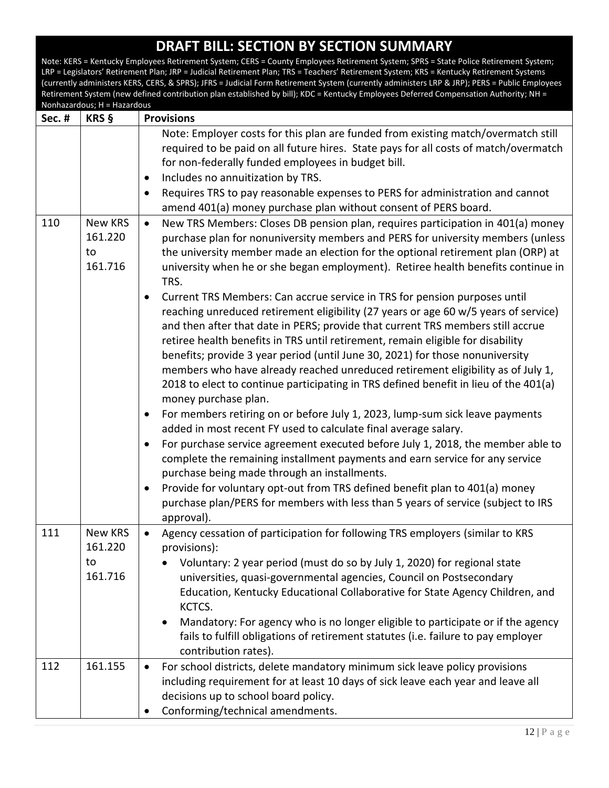| Sec. # | KRS §                               | <b>Provisions</b>                                                                                                                                                                                                                                                                                                                                                                                                                                                                                                                                                                                                                   |
|--------|-------------------------------------|-------------------------------------------------------------------------------------------------------------------------------------------------------------------------------------------------------------------------------------------------------------------------------------------------------------------------------------------------------------------------------------------------------------------------------------------------------------------------------------------------------------------------------------------------------------------------------------------------------------------------------------|
|        |                                     | Note: Employer costs for this plan are funded from existing match/overmatch still<br>required to be paid on all future hires. State pays for all costs of match/overmatch<br>for non-federally funded employees in budget bill.<br>Includes no annuitization by TRS.<br>$\bullet$<br>Requires TRS to pay reasonable expenses to PERS for administration and cannot<br>$\bullet$<br>amend 401(a) money purchase plan without consent of PERS board.                                                                                                                                                                                  |
| 110    | New KRS<br>161.220<br>to<br>161.716 | New TRS Members: Closes DB pension plan, requires participation in 401(a) money<br>$\bullet$<br>purchase plan for nonuniversity members and PERS for university members (unless<br>the university member made an election for the optional retirement plan (ORP) at<br>university when he or she began employment). Retiree health benefits continue in<br>TRS.<br>Current TRS Members: Can accrue service in TRS for pension purposes until<br>$\bullet$<br>reaching unreduced retirement eligibility (27 years or age 60 w/5 years of service)<br>and then after that date in PERS; provide that current TRS members still accrue |
|        |                                     | retiree health benefits in TRS until retirement, remain eligible for disability<br>benefits; provide 3 year period (until June 30, 2021) for those nonuniversity<br>members who have already reached unreduced retirement eligibility as of July 1,<br>2018 to elect to continue participating in TRS defined benefit in lieu of the 401(a)<br>money purchase plan.<br>For members retiring on or before July 1, 2023, lump-sum sick leave payments<br>$\bullet$                                                                                                                                                                    |
|        |                                     | added in most recent FY used to calculate final average salary.<br>For purchase service agreement executed before July 1, 2018, the member able to<br>$\bullet$<br>complete the remaining installment payments and earn service for any service<br>purchase being made through an installments.                                                                                                                                                                                                                                                                                                                                     |
|        |                                     | Provide for voluntary opt-out from TRS defined benefit plan to 401(a) money<br>$\bullet$<br>purchase plan/PERS for members with less than 5 years of service (subject to IRS<br>approval).                                                                                                                                                                                                                                                                                                                                                                                                                                          |
| 111    | New KRS<br>161.220<br>to<br>161.716 | Agency cessation of participation for following TRS employers (similar to KRS<br>$\bullet$<br>provisions):<br>Voluntary: 2 year period (must do so by July 1, 2020) for regional state<br>universities, quasi-governmental agencies, Council on Postsecondary<br>Education, Kentucky Educational Collaborative for State Agency Children, and<br>KCTCS.<br>Mandatory: For agency who is no longer eligible to participate or if the agency<br>fails to fulfill obligations of retirement statutes (i.e. failure to pay employer                                                                                                     |
| 112    | 161.155                             | contribution rates).<br>For school districts, delete mandatory minimum sick leave policy provisions<br>$\bullet$<br>including requirement for at least 10 days of sick leave each year and leave all<br>decisions up to school board policy.                                                                                                                                                                                                                                                                                                                                                                                        |
|        |                                     | Conforming/technical amendments.                                                                                                                                                                                                                                                                                                                                                                                                                                                                                                                                                                                                    |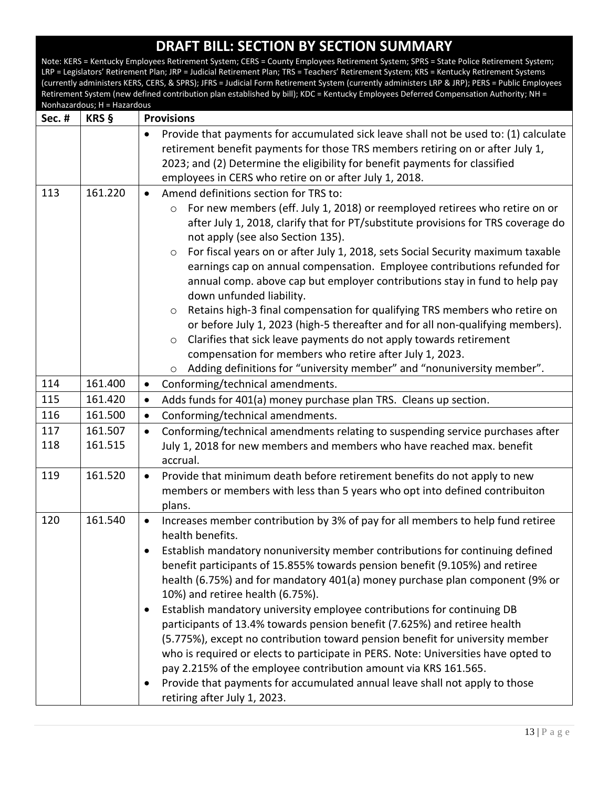| <b>Sec. #</b> | KRS §              | <b>Provisions</b>                                                                                                                                                                                                                                                                                                                                                                                                                                                                                                                                                                                                                                                                                                                                                                                                                                                                                                                                |
|---------------|--------------------|--------------------------------------------------------------------------------------------------------------------------------------------------------------------------------------------------------------------------------------------------------------------------------------------------------------------------------------------------------------------------------------------------------------------------------------------------------------------------------------------------------------------------------------------------------------------------------------------------------------------------------------------------------------------------------------------------------------------------------------------------------------------------------------------------------------------------------------------------------------------------------------------------------------------------------------------------|
|               |                    | Provide that payments for accumulated sick leave shall not be used to: (1) calculate<br>$\bullet$<br>retirement benefit payments for those TRS members retiring on or after July 1,<br>2023; and (2) Determine the eligibility for benefit payments for classified<br>employees in CERS who retire on or after July 1, 2018.                                                                                                                                                                                                                                                                                                                                                                                                                                                                                                                                                                                                                     |
| 113           | 161.220            | Amend definitions section for TRS to:<br>$\bullet$                                                                                                                                                                                                                                                                                                                                                                                                                                                                                                                                                                                                                                                                                                                                                                                                                                                                                               |
|               |                    | For new members (eff. July 1, 2018) or reemployed retirees who retire on or<br>$\circ$<br>after July 1, 2018, clarify that for PT/substitute provisions for TRS coverage do<br>not apply (see also Section 135).<br>For fiscal years on or after July 1, 2018, sets Social Security maximum taxable<br>$\circ$<br>earnings cap on annual compensation. Employee contributions refunded for<br>annual comp. above cap but employer contributions stay in fund to help pay<br>down unfunded liability.<br>Retains high-3 final compensation for qualifying TRS members who retire on<br>$\circ$<br>or before July 1, 2023 (high-5 thereafter and for all non-qualifying members).<br>Clarifies that sick leave payments do not apply towards retirement<br>$\circ$<br>compensation for members who retire after July 1, 2023.<br>Adding definitions for "university member" and "nonuniversity member".<br>$\circ$                                 |
| 114           | 161.400            | Conforming/technical amendments.<br>$\bullet$                                                                                                                                                                                                                                                                                                                                                                                                                                                                                                                                                                                                                                                                                                                                                                                                                                                                                                    |
| 115           | 161.420            | Adds funds for 401(a) money purchase plan TRS. Cleans up section.<br>$\bullet$                                                                                                                                                                                                                                                                                                                                                                                                                                                                                                                                                                                                                                                                                                                                                                                                                                                                   |
| 116           | 161.500            | Conforming/technical amendments.<br>$\bullet$                                                                                                                                                                                                                                                                                                                                                                                                                                                                                                                                                                                                                                                                                                                                                                                                                                                                                                    |
| 117<br>118    | 161.507<br>161.515 | Conforming/technical amendments relating to suspending service purchases after<br>$\bullet$<br>July 1, 2018 for new members and members who have reached max. benefit<br>accrual.                                                                                                                                                                                                                                                                                                                                                                                                                                                                                                                                                                                                                                                                                                                                                                |
| 119           | 161.520            | Provide that minimum death before retirement benefits do not apply to new<br>$\bullet$<br>members or members with less than 5 years who opt into defined contribuiton<br>plans.                                                                                                                                                                                                                                                                                                                                                                                                                                                                                                                                                                                                                                                                                                                                                                  |
| 120           | 161.540            | Increases member contribution by 3% of pay for all members to help fund retiree<br>$\bullet$<br>health benefits.<br>Establish mandatory nonuniversity member contributions for continuing defined<br>benefit participants of 15.855% towards pension benefit (9.105%) and retiree<br>health (6.75%) and for mandatory 401(a) money purchase plan component (9% or<br>10%) and retiree health (6.75%).<br>Establish mandatory university employee contributions for continuing DB<br>$\bullet$<br>participants of 13.4% towards pension benefit (7.625%) and retiree health<br>(5.775%), except no contribution toward pension benefit for university member<br>who is required or elects to participate in PERS. Note: Universities have opted to<br>pay 2.215% of the employee contribution amount via KRS 161.565.<br>Provide that payments for accumulated annual leave shall not apply to those<br>$\bullet$<br>retiring after July 1, 2023. |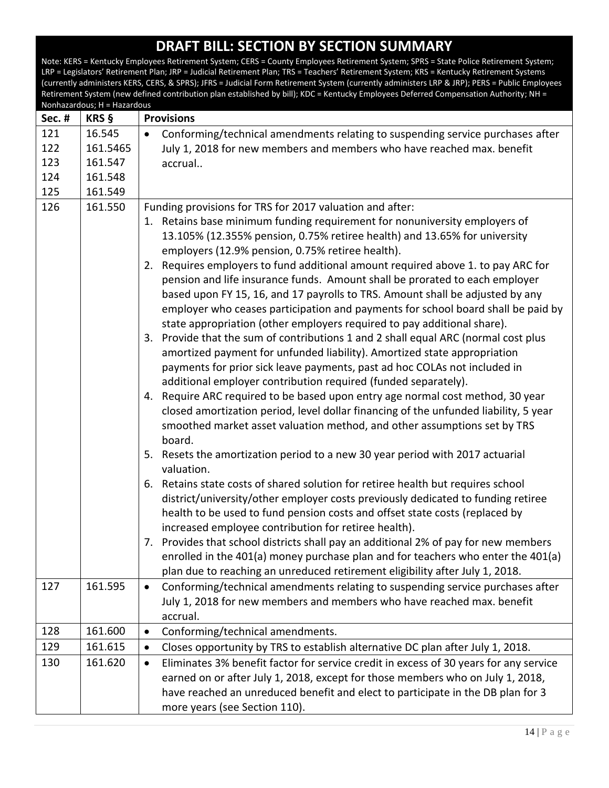| Sec. # | KRS §    | <b>Provisions</b>                                                                                                                                                                                                                                                                                                                                                                                                                                                                                                                                                                                                                                                                                                                                                                                                                                                                                                                                                                                                                                                                                                                                                                                                                                                                                                                                                                                                                                                                                                                                                                                                                                                                                                                                                                                                                                                                                                                                    |
|--------|----------|------------------------------------------------------------------------------------------------------------------------------------------------------------------------------------------------------------------------------------------------------------------------------------------------------------------------------------------------------------------------------------------------------------------------------------------------------------------------------------------------------------------------------------------------------------------------------------------------------------------------------------------------------------------------------------------------------------------------------------------------------------------------------------------------------------------------------------------------------------------------------------------------------------------------------------------------------------------------------------------------------------------------------------------------------------------------------------------------------------------------------------------------------------------------------------------------------------------------------------------------------------------------------------------------------------------------------------------------------------------------------------------------------------------------------------------------------------------------------------------------------------------------------------------------------------------------------------------------------------------------------------------------------------------------------------------------------------------------------------------------------------------------------------------------------------------------------------------------------------------------------------------------------------------------------------------------------|
| 121    | 16.545   | Conforming/technical amendments relating to suspending service purchases after<br>$\bullet$                                                                                                                                                                                                                                                                                                                                                                                                                                                                                                                                                                                                                                                                                                                                                                                                                                                                                                                                                                                                                                                                                                                                                                                                                                                                                                                                                                                                                                                                                                                                                                                                                                                                                                                                                                                                                                                          |
| 122    | 161.5465 | July 1, 2018 for new members and members who have reached max. benefit                                                                                                                                                                                                                                                                                                                                                                                                                                                                                                                                                                                                                                                                                                                                                                                                                                                                                                                                                                                                                                                                                                                                                                                                                                                                                                                                                                                                                                                                                                                                                                                                                                                                                                                                                                                                                                                                               |
| 123    | 161.547  | accrual                                                                                                                                                                                                                                                                                                                                                                                                                                                                                                                                                                                                                                                                                                                                                                                                                                                                                                                                                                                                                                                                                                                                                                                                                                                                                                                                                                                                                                                                                                                                                                                                                                                                                                                                                                                                                                                                                                                                              |
| 124    | 161.548  |                                                                                                                                                                                                                                                                                                                                                                                                                                                                                                                                                                                                                                                                                                                                                                                                                                                                                                                                                                                                                                                                                                                                                                                                                                                                                                                                                                                                                                                                                                                                                                                                                                                                                                                                                                                                                                                                                                                                                      |
| 125    | 161.549  |                                                                                                                                                                                                                                                                                                                                                                                                                                                                                                                                                                                                                                                                                                                                                                                                                                                                                                                                                                                                                                                                                                                                                                                                                                                                                                                                                                                                                                                                                                                                                                                                                                                                                                                                                                                                                                                                                                                                                      |
| 126    | 161.550  | Funding provisions for TRS for 2017 valuation and after:<br>1. Retains base minimum funding requirement for nonuniversity employers of<br>13.105% (12.355% pension, 0.75% retiree health) and 13.65% for university<br>employers (12.9% pension, 0.75% retiree health).<br>2. Requires employers to fund additional amount required above 1. to pay ARC for<br>pension and life insurance funds. Amount shall be prorated to each employer<br>based upon FY 15, 16, and 17 payrolls to TRS. Amount shall be adjusted by any<br>employer who ceases participation and payments for school board shall be paid by<br>state appropriation (other employers required to pay additional share).<br>3. Provide that the sum of contributions 1 and 2 shall equal ARC (normal cost plus<br>amortized payment for unfunded liability). Amortized state appropriation<br>payments for prior sick leave payments, past ad hoc COLAs not included in<br>additional employer contribution required (funded separately).<br>4. Require ARC required to be based upon entry age normal cost method, 30 year<br>closed amortization period, level dollar financing of the unfunded liability, 5 year<br>smoothed market asset valuation method, and other assumptions set by TRS<br>board.<br>5. Resets the amortization period to a new 30 year period with 2017 actuarial<br>valuation.<br>6. Retains state costs of shared solution for retiree health but requires school<br>district/university/other employer costs previously dedicated to funding retiree<br>health to be used to fund pension costs and offset state costs (replaced by<br>increased employee contribution for retiree health).<br>7. Provides that school districts shall pay an additional 2% of pay for new members<br>enrolled in the 401(a) money purchase plan and for teachers who enter the 401(a)<br>plan due to reaching an unreduced retirement eligibility after July 1, 2018. |
| 127    | 161.595  | Conforming/technical amendments relating to suspending service purchases after<br>$\bullet$<br>July 1, 2018 for new members and members who have reached max. benefit<br>accrual.                                                                                                                                                                                                                                                                                                                                                                                                                                                                                                                                                                                                                                                                                                                                                                                                                                                                                                                                                                                                                                                                                                                                                                                                                                                                                                                                                                                                                                                                                                                                                                                                                                                                                                                                                                    |
| 128    | 161.600  | Conforming/technical amendments.<br>$\bullet$                                                                                                                                                                                                                                                                                                                                                                                                                                                                                                                                                                                                                                                                                                                                                                                                                                                                                                                                                                                                                                                                                                                                                                                                                                                                                                                                                                                                                                                                                                                                                                                                                                                                                                                                                                                                                                                                                                        |
| 129    | 161.615  | Closes opportunity by TRS to establish alternative DC plan after July 1, 2018.<br>$\bullet$                                                                                                                                                                                                                                                                                                                                                                                                                                                                                                                                                                                                                                                                                                                                                                                                                                                                                                                                                                                                                                                                                                                                                                                                                                                                                                                                                                                                                                                                                                                                                                                                                                                                                                                                                                                                                                                          |
| 130    | 161.620  | Eliminates 3% benefit factor for service credit in excess of 30 years for any service<br>$\bullet$                                                                                                                                                                                                                                                                                                                                                                                                                                                                                                                                                                                                                                                                                                                                                                                                                                                                                                                                                                                                                                                                                                                                                                                                                                                                                                                                                                                                                                                                                                                                                                                                                                                                                                                                                                                                                                                   |
|        |          | earned on or after July 1, 2018, except for those members who on July 1, 2018,                                                                                                                                                                                                                                                                                                                                                                                                                                                                                                                                                                                                                                                                                                                                                                                                                                                                                                                                                                                                                                                                                                                                                                                                                                                                                                                                                                                                                                                                                                                                                                                                                                                                                                                                                                                                                                                                       |
|        |          | have reached an unreduced benefit and elect to participate in the DB plan for 3                                                                                                                                                                                                                                                                                                                                                                                                                                                                                                                                                                                                                                                                                                                                                                                                                                                                                                                                                                                                                                                                                                                                                                                                                                                                                                                                                                                                                                                                                                                                                                                                                                                                                                                                                                                                                                                                      |
|        |          | more years (see Section 110).                                                                                                                                                                                                                                                                                                                                                                                                                                                                                                                                                                                                                                                                                                                                                                                                                                                                                                                                                                                                                                                                                                                                                                                                                                                                                                                                                                                                                                                                                                                                                                                                                                                                                                                                                                                                                                                                                                                        |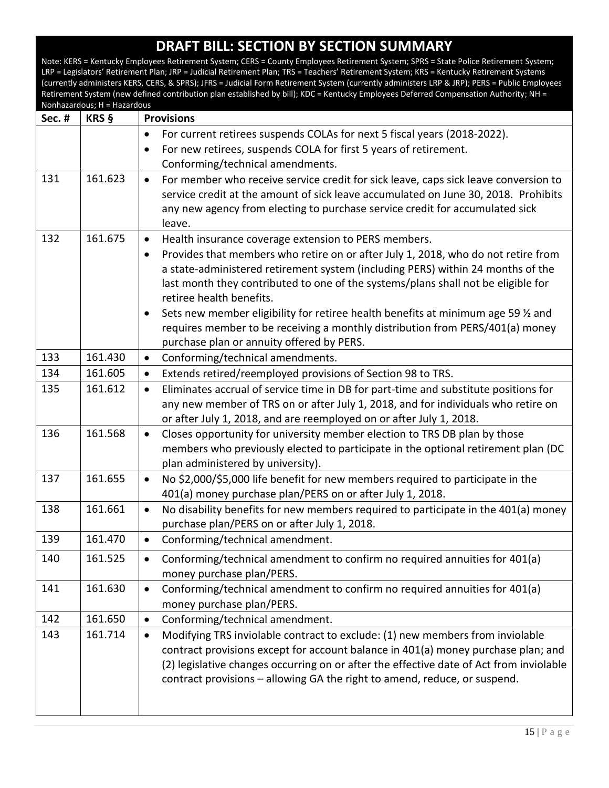| Sec.# | KRS §   | <b>Provisions</b>                                                                                |
|-------|---------|--------------------------------------------------------------------------------------------------|
|       |         | For current retirees suspends COLAs for next 5 fiscal years (2018-2022).<br>$\bullet$            |
|       |         | For new retirees, suspends COLA for first 5 years of retirement.<br>$\bullet$                    |
|       |         | Conforming/technical amendments.                                                                 |
| 131   | 161.623 | For member who receive service credit for sick leave, caps sick leave conversion to<br>$\bullet$ |
|       |         | service credit at the amount of sick leave accumulated on June 30, 2018. Prohibits               |
|       |         | any new agency from electing to purchase service credit for accumulated sick                     |
|       |         | leave.                                                                                           |
| 132   | 161.675 | Health insurance coverage extension to PERS members.<br>$\bullet$                                |
|       |         | Provides that members who retire on or after July 1, 2018, who do not retire from<br>$\bullet$   |
|       |         | a state-administered retirement system (including PERS) within 24 months of the                  |
|       |         | last month they contributed to one of the systems/plans shall not be eligible for                |
|       |         | retiree health benefits.                                                                         |
|       |         | Sets new member eligibility for retiree health benefits at minimum age 59 % and<br>$\bullet$     |
|       |         | requires member to be receiving a monthly distribution from PERS/401(a) money                    |
|       |         | purchase plan or annuity offered by PERS.                                                        |
| 133   | 161.430 | Conforming/technical amendments.<br>$\bullet$                                                    |
| 134   | 161.605 | Extends retired/reemployed provisions of Section 98 to TRS.<br>$\bullet$                         |
| 135   | 161.612 | Eliminates accrual of service time in DB for part-time and substitute positions for<br>$\bullet$ |
|       |         | any new member of TRS on or after July 1, 2018, and for individuals who retire on                |
|       |         | or after July 1, 2018, and are reemployed on or after July 1, 2018.                              |
| 136   | 161.568 | Closes opportunity for university member election to TRS DB plan by those<br>$\bullet$           |
|       |         | members who previously elected to participate in the optional retirement plan (DC                |
|       |         | plan administered by university).                                                                |
| 137   | 161.655 | No \$2,000/\$5,000 life benefit for new members required to participate in the<br>$\bullet$      |
|       |         | 401(a) money purchase plan/PERS on or after July 1, 2018.                                        |
| 138   | 161.661 | No disability benefits for new members required to participate in the 401(a) money<br>$\bullet$  |
|       |         | purchase plan/PERS on or after July 1, 2018.                                                     |
| 139   | 161.470 | Conforming/technical amendment.<br>$\bullet$                                                     |
| 140   | 161.525 | Conforming/technical amendment to confirm no required annuities for 401(a)<br>٠                  |
|       |         | money purchase plan/PERS.                                                                        |
| 141   | 161.630 | Conforming/technical amendment to confirm no required annuities for 401(a)<br>$\bullet$          |
|       |         | money purchase plan/PERS.                                                                        |
| 142   | 161.650 | Conforming/technical amendment.<br>$\bullet$                                                     |
| 143   | 161.714 | Modifying TRS inviolable contract to exclude: (1) new members from inviolable<br>$\bullet$       |
|       |         | contract provisions except for account balance in 401(a) money purchase plan; and                |
|       |         | (2) legislative changes occurring on or after the effective date of Act from inviolable          |
|       |         | contract provisions - allowing GA the right to amend, reduce, or suspend.                        |
|       |         |                                                                                                  |
|       |         |                                                                                                  |